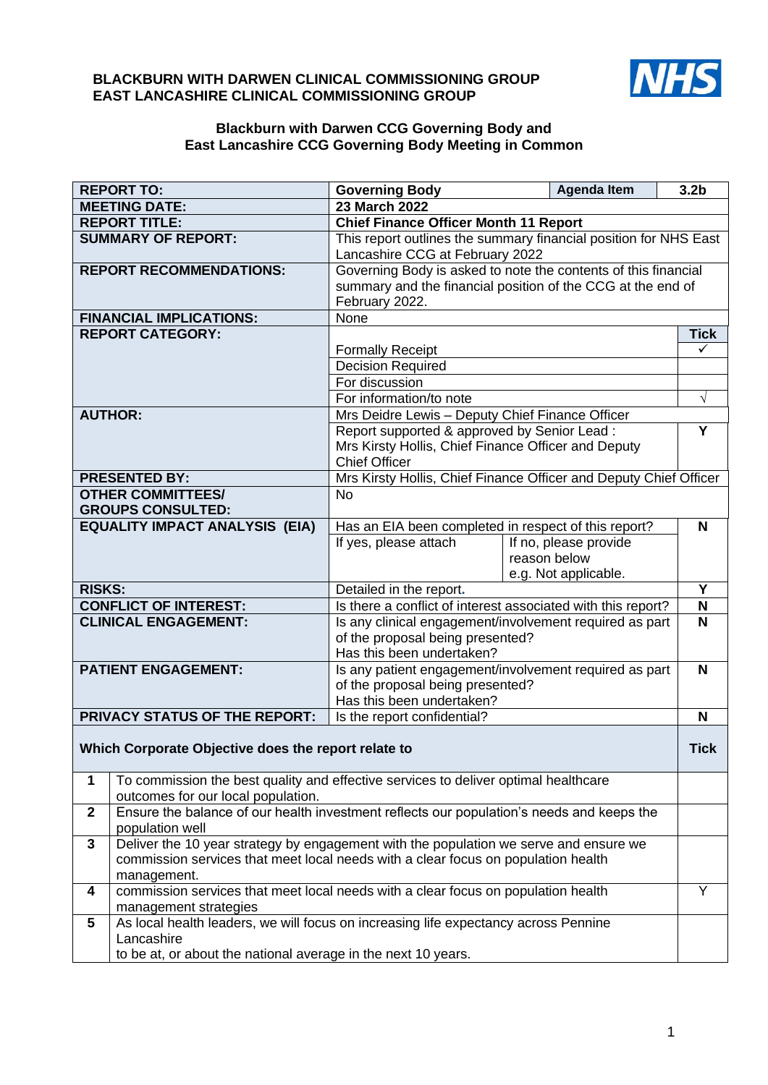# **BLACKBURN WITH DARWEN CLINICAL COMMISSIONING GROUP EAST LANCASHIRE CLINICAL COMMISSIONING GROUP**



# **Blackburn with Darwen CCG Governing Body and East Lancashire CCG Governing Body Meeting in Common**

|                                       | <b>REPORT TO:</b>                                                                         | <b>Governing Body</b>                                                             | <b>Agenda Item</b>    | 3.2 <sub>b</sub> |  |  |  |
|---------------------------------------|-------------------------------------------------------------------------------------------|-----------------------------------------------------------------------------------|-----------------------|------------------|--|--|--|
| <b>MEETING DATE:</b>                  |                                                                                           | <b>23 March 2022</b>                                                              |                       |                  |  |  |  |
| <b>REPORT TITLE:</b>                  |                                                                                           | <b>Chief Finance Officer Month 11 Report</b>                                      |                       |                  |  |  |  |
| <b>SUMMARY OF REPORT:</b>             |                                                                                           | This report outlines the summary financial position for NHS East                  |                       |                  |  |  |  |
|                                       |                                                                                           | Lancashire CCG at February 2022                                                   |                       |                  |  |  |  |
|                                       | <b>REPORT RECOMMENDATIONS:</b>                                                            | Governing Body is asked to note the contents of this financial                    |                       |                  |  |  |  |
|                                       |                                                                                           | summary and the financial position of the CCG at the end of                       |                       |                  |  |  |  |
|                                       |                                                                                           | February 2022.                                                                    |                       |                  |  |  |  |
| <b>FINANCIAL IMPLICATIONS:</b>        |                                                                                           | None                                                                              |                       |                  |  |  |  |
|                                       | <b>REPORT CATEGORY:</b>                                                                   |                                                                                   |                       | <b>Tick</b><br>✓ |  |  |  |
|                                       |                                                                                           | <b>Formally Receipt</b>                                                           |                       |                  |  |  |  |
|                                       |                                                                                           | <b>Decision Required</b>                                                          |                       |                  |  |  |  |
|                                       |                                                                                           | For discussion                                                                    |                       |                  |  |  |  |
|                                       |                                                                                           | For information/to note                                                           |                       |                  |  |  |  |
| <b>AUTHOR:</b>                        |                                                                                           | Mrs Deidre Lewis - Deputy Chief Finance Officer                                   |                       |                  |  |  |  |
|                                       |                                                                                           | Report supported & approved by Senior Lead:                                       |                       | Y                |  |  |  |
|                                       |                                                                                           | Mrs Kirsty Hollis, Chief Finance Officer and Deputy                               |                       |                  |  |  |  |
|                                       |                                                                                           | <b>Chief Officer</b>                                                              |                       |                  |  |  |  |
| <b>PRESENTED BY:</b>                  |                                                                                           | Mrs Kirsty Hollis, Chief Finance Officer and Deputy Chief Officer                 |                       |                  |  |  |  |
| <b>OTHER COMMITTEES/</b>              |                                                                                           | <b>No</b>                                                                         |                       |                  |  |  |  |
| <b>GROUPS CONSULTED:</b>              |                                                                                           |                                                                                   |                       |                  |  |  |  |
| <b>EQUALITY IMPACT ANALYSIS (EIA)</b> |                                                                                           | Has an EIA been completed in respect of this report?                              |                       | N                |  |  |  |
|                                       |                                                                                           | If yes, please attach                                                             | If no, please provide |                  |  |  |  |
|                                       |                                                                                           |                                                                                   | reason below          |                  |  |  |  |
|                                       |                                                                                           | e.g. Not applicable.                                                              |                       | Υ                |  |  |  |
| <b>RISKS:</b>                         |                                                                                           | Detailed in the report.                                                           |                       |                  |  |  |  |
| <b>CONFLICT OF INTEREST:</b>          |                                                                                           | Is there a conflict of interest associated with this report?                      |                       |                  |  |  |  |
| <b>CLINICAL ENGAGEMENT:</b>           |                                                                                           | Is any clinical engagement/involvement required as part                           |                       |                  |  |  |  |
|                                       |                                                                                           | of the proposal being presented?<br>Has this been undertaken?                     |                       |                  |  |  |  |
| <b>PATIENT ENGAGEMENT:</b>            |                                                                                           | Is any patient engagement/involvement required as part                            |                       |                  |  |  |  |
|                                       |                                                                                           | of the proposal being presented?                                                  |                       |                  |  |  |  |
|                                       |                                                                                           | Has this been undertaken?                                                         |                       |                  |  |  |  |
| <b>PRIVACY STATUS OF THE REPORT:</b>  |                                                                                           | Is the report confidential?                                                       |                       |                  |  |  |  |
|                                       |                                                                                           |                                                                                   |                       | N                |  |  |  |
|                                       | Which Corporate Objective does the report relate to                                       |                                                                                   |                       |                  |  |  |  |
|                                       |                                                                                           |                                                                                   |                       | <b>Tick</b>      |  |  |  |
| 1                                     | To commission the best quality and effective services to deliver optimal healthcare       |                                                                                   |                       |                  |  |  |  |
|                                       | outcomes for our local population.                                                        |                                                                                   |                       |                  |  |  |  |
| $\mathbf{2}$                          | Ensure the balance of our health investment reflects our population's needs and keeps the |                                                                                   |                       |                  |  |  |  |
|                                       | population well                                                                           |                                                                                   |                       |                  |  |  |  |
| $\mathbf{3}$                          | Deliver the 10 year strategy by engagement with the population we serve and ensure we     |                                                                                   |                       |                  |  |  |  |
|                                       |                                                                                           | commission services that meet local needs with a clear focus on population health |                       |                  |  |  |  |
|                                       | management.<br>Y                                                                          |                                                                                   |                       |                  |  |  |  |
| 4                                     | commission services that meet local needs with a clear focus on population health         |                                                                                   |                       |                  |  |  |  |
|                                       | management strategies                                                                     |                                                                                   |                       |                  |  |  |  |
| 5                                     | As local health leaders, we will focus on increasing life expectancy across Pennine       |                                                                                   |                       |                  |  |  |  |
|                                       | Lancashire                                                                                |                                                                                   |                       |                  |  |  |  |
|                                       | to be at, or about the national average in the next 10 years.                             |                                                                                   |                       |                  |  |  |  |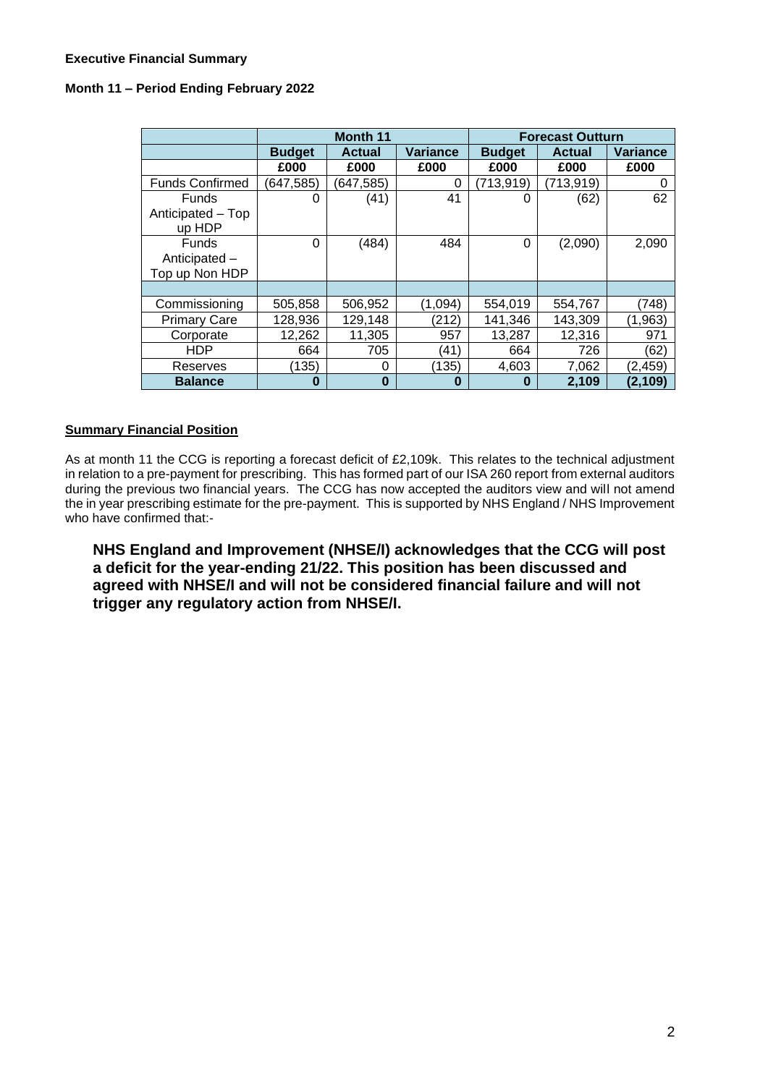## **Executive Financial Summary**

## **Month 11 – Period Ending February 2022**

|                                                 | <b>Month 11</b> |               |                 | <b>Forecast Outturn</b> |               |                 |
|-------------------------------------------------|-----------------|---------------|-----------------|-------------------------|---------------|-----------------|
|                                                 | <b>Budget</b>   | <b>Actual</b> | <b>Variance</b> | <b>Budget</b>           | <b>Actual</b> | <b>Variance</b> |
|                                                 | £000            | £000          | £000            | £000                    | £000          | £000            |
| <b>Funds Confirmed</b>                          | (647, 585)      | (647, 585)    | 0               | (713, 919)              | (713, 919)    | O               |
| Funds<br>Anticipated - Top<br>up HDP            | 0               | (41)          | 41              | 0                       | (62)          | 62              |
| <b>Funds</b><br>Anticipated -<br>Top up Non HDP | $\Omega$        | (484)         | 484             | 0                       | (2,090)       | 2,090           |
|                                                 |                 |               |                 |                         |               |                 |
| Commissioning                                   | 505,858         | 506,952       | (1.094)         | 554,019                 | 554,767       | (748)           |
| <b>Primary Care</b>                             | 128,936         | 129,148       | (212)           | 141,346                 | 143,309       | (1, 963)        |
| Corporate                                       | 12,262          | 11,305        | 957             | 13,287                  | 12,316        | 971             |
| <b>HDP</b>                                      | 664             | 705           | (41)            | 664                     | 726           | (62)            |
| Reserves                                        | (135)           | $\Omega$      | (135)           | 4,603                   | 7,062         | (2,459)         |
| <b>Balance</b>                                  | $\bf{0}$        | $\bf{0}$      | $\bf{0}$        | 0                       | 2,109         | (2, 109)        |

## **Summary Financial Position**

As at month 11 the CCG is reporting a forecast deficit of £2,109k. This relates to the technical adjustment in relation to a pre-payment for prescribing. This has formed part of our ISA 260 report from external auditors during the previous two financial years. The CCG has now accepted the auditors view and will not amend the in year prescribing estimate for the pre-payment. This is supported by NHS England / NHS Improvement who have confirmed that:-

**NHS England and Improvement (NHSE/I) acknowledges that the CCG will post a deficit for the year-ending 21/22. This position has been discussed and agreed with NHSE/I and will not be considered financial failure and will not trigger any regulatory action from NHSE/I.**